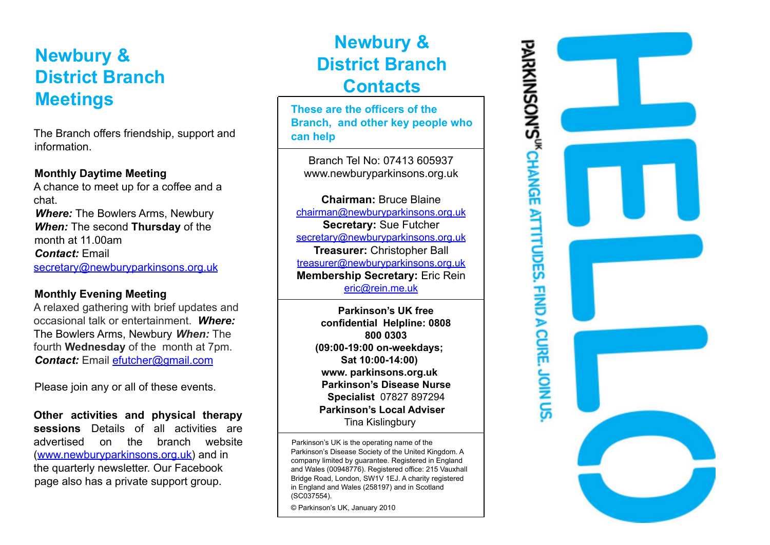# **Newbury & District Branch Meetings**

The Branch offers friendship, support and information.

#### **Monthly Daytime Meeting**

A chance to meet up for a coffee and a chat. *Where:* The Bowlers Arms, Newbury *When:* The second **Thursday** of the month at 11.00am *Contact:* Email secretary@newburyparkinsons.org.uk

### **Monthly Evening Meeting**

A relaxed gathering with brief updates and occasional talk or entertainment. *Where:* The Bowlers Arms, Newbury *When:* The fourth **Wednesday** of the month at 7pm. *Contact:* Email efutcher@gmail.com

Please join any or all of these events.

**Other activities and physical therapy sessions** Details of all activities are advertised on the branch website (www.newburyparkinsons.org.uk) and in the quarterly newsletter. Our Facebook page also has a private support group.

# **Newbury & District Branch Contacts**

**These are the officers of the Branch, and other key people who can help**

Branch Tel No: 07413 605937 www.newburyparkinsons.org.uk

**Chairman:** Bruce Blaine chairman@newburyparkinsons.org.uk **Secretary:** Sue Futcher secretary@newburyparkinsons.org.uk **Treasurer:** Christopher Ball treasurer@newburyparkinsons.org.uk **Membership Secretary:** Eric Rein eric@rein.me.uk

> **Parkinson's UK free confidential Helpline: 0808 800 0303 (09:00-19:00 on-weekdays; Sat 10:00-14:00) www. parkinsons.org.uk Parkinson's Disease Nurse Specialist** 07827 897294 **Parkinson's Local Adviser** Tina Kislingbury

Parkinson's UK is the operating name of the Parkinson's Disease Society of the United Kingdom. A company limited by guarantee. Registered in England and Wales (00948776). Registered office: 215 Vauxhall Bridge Road, London, SW1V 1EJ. A charity registered in England and Wales (258197) and in Scotland (SC037554).

© Parkinson's UK, January 2010